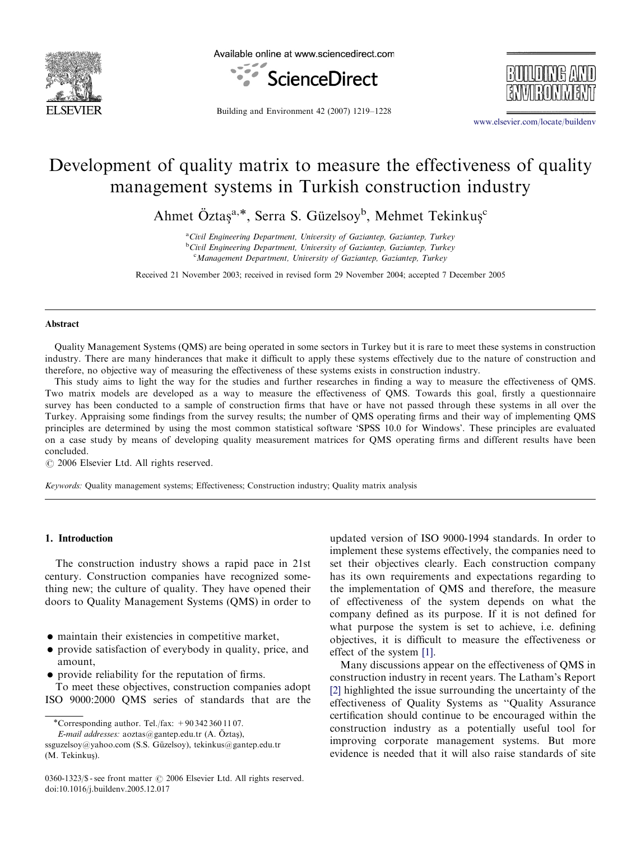

Available online at www.sciencedirect.com





Building and Environment 42 (2007) 1219–1228

<www.elsevier.com/locate/buildenv>

## Development of quality matrix to measure the effectiveness of quality management systems in Turkish construction industry

Ahmet Öztaş<sup>a,\*</sup>, Serra S. Güzelsoy<sup>b</sup>, Mehmet Tekinkuş<sup>c</sup>

<sup>a</sup>Civil Engineering Department, University of Gaziantep, Gaziantep, Turkey <sup>b</sup>Civil Engineering Department, University of Gaziantep, Gaziantep, Turkey <sup>c</sup>Management Department, University of Gaziantep, Gaziantep, Turkey

Received 21 November 2003; received in revised form 29 November 2004; accepted 7 December 2005

#### Abstract

Quality Management Systems (QMS) are being operated in some sectors in Turkey but it is rare to meet these systems in construction industry. There are many hinderances that make it difficult to apply these systems effectively due to the nature of construction and therefore, no objective way of measuring the effectiveness of these systems exists in construction industry.

This study aims to light the way for the studies and further researches in finding a way to measure the effectiveness of QMS. Two matrix models are developed as a way to measure the effectiveness of QMS. Towards this goal, firstly a questionnaire survey has been conducted to a sample of construction firms that have or have not passed through these systems in all over the Turkey. Appraising some findings from the survey results; the number of QMS operating firms and their way of implementing QMS principles are determined by using the most common statistical software 'SPSS 10.0 for Windows'. These principles are evaluated on a case study by means of developing quality measurement matrices for QMS operating firms and different results have been concluded.

 $C$  2006 Elsevier Ltd. All rights reserved.

Keywords: Quality management systems; Effectiveness; Construction industry; Quality matrix analysis

### 1. Introduction

The construction industry shows a rapid pace in 21st century. Construction companies have recognized something new; the culture of quality. They have opened their doors to Quality Management Systems (QMS) in order to

- maintain their existencies in competitive market,
- provide satisfaction of everybody in quality, price, and amount,
- provide reliability for the reputation of firms.

To meet these objectives, construction companies adopt ISO 9000:2000 QMS series of standards that are the

\*Corresponding author. Tel./fax:  $+90\,342\,360\,11\,07$ .

updated version of ISO 9000-1994 standards. In order to implement these systems effectively, the companies need to set their objectives clearly. Each construction company has its own requirements and expectations regarding to the implementation of QMS and therefore, the measure of effectiveness of the system depends on what the company defined as its purpose. If it is not defined for what purpose the system is set to achieve, i.e. defining objectives, it is difficult to measure the effectiveness or effect of the system [\[1\].](#page--1-0)

Many discussions appear on the effectiveness of QMS in construction industry in recent years. The Latham's Report [\[2\]](#page--1-0) highlighted the issue surrounding the uncertainty of the effectiveness of Quality Systems as ''Quality Assurance certification should continue to be encouraged within the construction industry as a potentially useful tool for improving corporate management systems. But more evidence is needed that it will also raise standards of site

E-mail addresses:  $a$ oztas@gantep.edu.tr (A. Öztaş),

ssguzelsoy@yahoo.com (S.S. Güzelsoy), tekinkus@gantep.edu.tr (M. Tekinkuş).

 $0360-1323/\$  - see front matter  $\odot$  2006 Elsevier Ltd. All rights reserved. doi:10.1016/j.buildenv.2005.12.017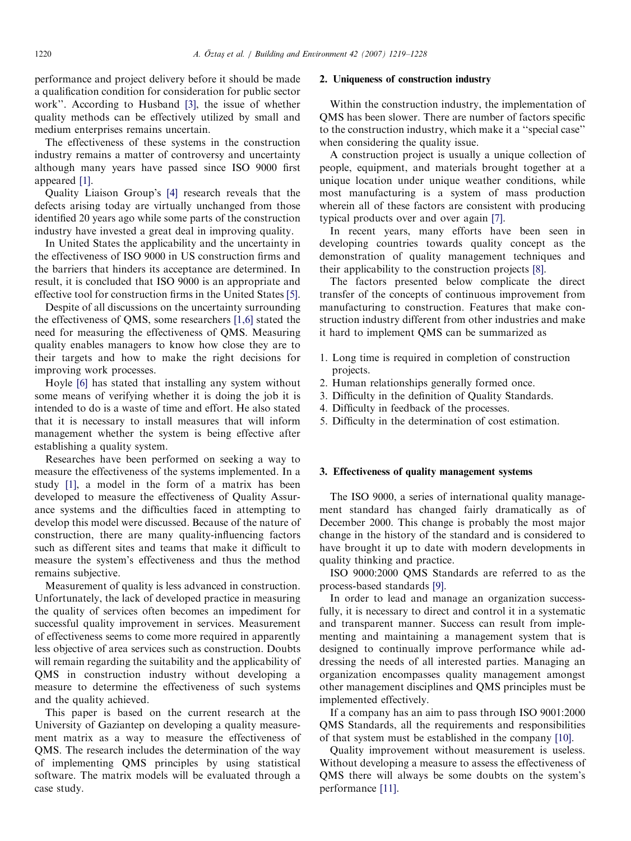performance and project delivery before it should be made a qualification condition for consideration for public sector work''. According to Husband [\[3\]](#page--1-0), the issue of whether quality methods can be effectively utilized by small and medium enterprises remains uncertain.

The effectiveness of these systems in the construction industry remains a matter of controversy and uncertainty although many years have passed since ISO 9000 first appeared [\[1\]](#page--1-0).

Quality Liaison Group's [\[4\]](#page--1-0) research reveals that the defects arising today are virtually unchanged from those identified 20 years ago while some parts of the construction industry have invested a great deal in improving quality.

In United States the applicability and the uncertainty in the effectiveness of ISO 9000 in US construction firms and the barriers that hinders its acceptance are determined. In result, it is concluded that ISO 9000 is an appropriate and effective tool for construction firms in the United States [\[5\]](#page--1-0).

Despite of all discussions on the uncertainty surrounding the effectiveness of QMS, some researchers [\[1,6\]](#page--1-0) stated the need for measuring the effectiveness of QMS. Measuring quality enables managers to know how close they are to their targets and how to make the right decisions for improving work processes.

Hoyle [\[6\]](#page--1-0) has stated that installing any system without some means of verifying whether it is doing the job it is intended to do is a waste of time and effort. He also stated that it is necessary to install measures that will inform management whether the system is being effective after establishing a quality system.

Researches have been performed on seeking a way to measure the effectiveness of the systems implemented. In a study [\[1\]](#page--1-0), a model in the form of a matrix has been developed to measure the effectiveness of Quality Assurance systems and the difficulties faced in attempting to develop this model were discussed. Because of the nature of construction, there are many quality-influencing factors such as different sites and teams that make it difficult to measure the system's effectiveness and thus the method remains subjective.

Measurement of quality is less advanced in construction. Unfortunately, the lack of developed practice in measuring the quality of services often becomes an impediment for successful quality improvement in services. Measurement of effectiveness seems to come more required in apparently less objective of area services such as construction. Doubts will remain regarding the suitability and the applicability of QMS in construction industry without developing a measure to determine the effectiveness of such systems and the quality achieved.

This paper is based on the current research at the University of Gaziantep on developing a quality measurement matrix as a way to measure the effectiveness of QMS. The research includes the determination of the way of implementing QMS principles by using statistical software. The matrix models will be evaluated through a case study.

### 2. Uniqueness of construction industry

Within the construction industry, the implementation of QMS has been slower. There are number of factors specific to the construction industry, which make it a ''special case'' when considering the quality issue.

A construction project is usually a unique collection of people, equipment, and materials brought together at a unique location under unique weather conditions, while most manufacturing is a system of mass production wherein all of these factors are consistent with producing typical products over and over again [\[7\].](#page--1-0)

In recent years, many efforts have been seen in developing countries towards quality concept as the demonstration of quality management techniques and their applicability to the construction projects [\[8\]](#page--1-0).

The factors presented below complicate the direct transfer of the concepts of continuous improvement from manufacturing to construction. Features that make construction industry different from other industries and make it hard to implement QMS can be summarized as

- 1. Long time is required in completion of construction projects.
- 2. Human relationships generally formed once.
- 3. Difficulty in the definition of Quality Standards.
- 4. Difficulty in feedback of the processes.
- 5. Difficulty in the determination of cost estimation.

#### 3. Effectiveness of quality management systems

The ISO 9000, a series of international quality management standard has changed fairly dramatically as of December 2000. This change is probably the most major change in the history of the standard and is considered to have brought it up to date with modern developments in quality thinking and practice.

ISO 9000:2000 QMS Standards are referred to as the process-based standards [\[9\].](#page--1-0)

In order to lead and manage an organization successfully, it is necessary to direct and control it in a systematic and transparent manner. Success can result from implementing and maintaining a management system that is designed to continually improve performance while addressing the needs of all interested parties. Managing an organization encompasses quality management amongst other management disciplines and QMS principles must be implemented effectively.

If a company has an aim to pass through ISO 9001:2000 QMS Standards, all the requirements and responsibilities of that system must be established in the company [\[10\].](#page--1-0)

Quality improvement without measurement is useless. Without developing a measure to assess the effectiveness of QMS there will always be some doubts on the system's performance [\[11\]](#page--1-0).